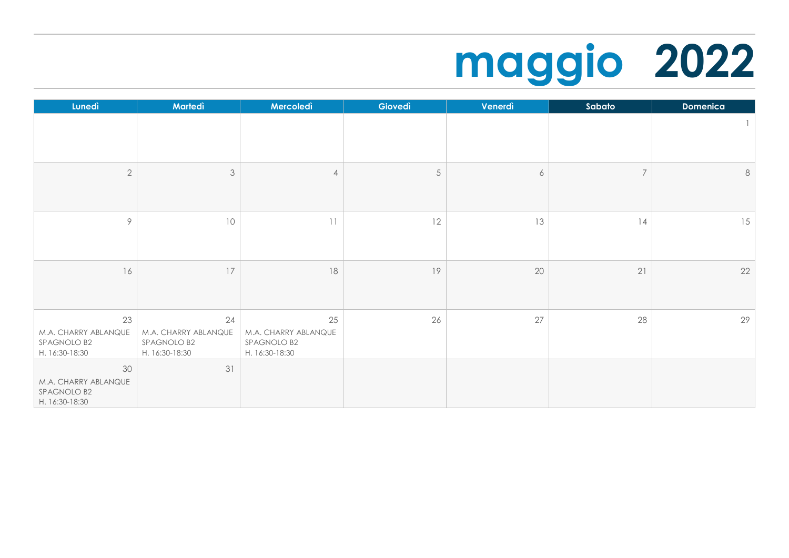## **maggio 2022**

| Lunedì                                                      | Martedì                                                     | Mercoledì                                                   | Giovedì | Venerdì          | Sabato         | <b>Domenica</b> |
|-------------------------------------------------------------|-------------------------------------------------------------|-------------------------------------------------------------|---------|------------------|----------------|-----------------|
|                                                             |                                                             |                                                             |         |                  |                | 1               |
| $\overline{2}$                                              | $\mathfrak{Z}$                                              | 4                                                           | 5       | $\boldsymbol{6}$ | $\overline{7}$ | $\,8\,$         |
| 9                                                           | 10                                                          | $\lceil \rceil$                                             | 12      | 13               | 14             | 15              |
| 16                                                          | 17                                                          | $18\,$                                                      | 19      | 20               | 21             | 22              |
| 23<br>M.A. CHARRY ABLANQUE<br>SPAGNOLO B2<br>H. 16:30-18:30 | 24<br>M.A. CHARRY ABLANQUE<br>SPAGNOLO B2<br>H. 16:30-18:30 | 25<br>M.A. CHARRY ABLANQUE<br>SPAGNOLO B2<br>H. 16:30-18:30 | 26      | 27               | 28             | 29              |
| 30<br>M.A. CHARRY ABLANQUE<br>SPAGNOLO B2<br>H. 16:30-18:30 | 31                                                          |                                                             |         |                  |                |                 |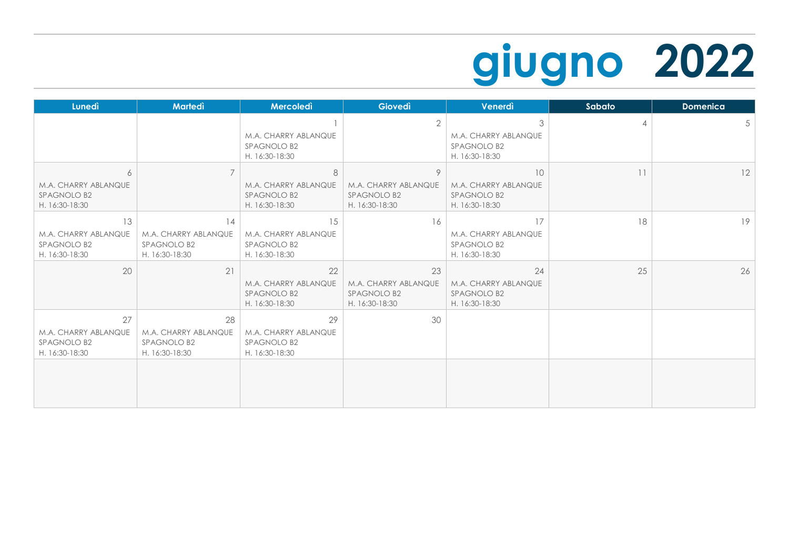## **giugno 2022**

| <b>Lunedì</b>                                               | <b>Martedì</b>                                              | Mercoledì                                                   | Giovedì                                                            | Venerdì                                                           | Sabato | <b>Domenica</b> |
|-------------------------------------------------------------|-------------------------------------------------------------|-------------------------------------------------------------|--------------------------------------------------------------------|-------------------------------------------------------------------|--------|-----------------|
|                                                             |                                                             | M.A. CHARRY ABLANQUE<br>SPAGNOLO B2<br>H. 16:30-18:30       | $\overline{2}$                                                     | 3<br>M.A. CHARRY ABLANQUE<br><b>SPAGNOLO B2</b><br>H. 16:30-18:30 | 4      | 5               |
| 6<br>M.A. CHARRY ABLANQUE<br>SPAGNOLO B2<br>H. 16:30-18:30  | $\overline{7}$                                              | 8<br>M.A. CHARRY ABLANQUE<br>SPAGNOLO B2<br>H. 16:30-18:30  | 9<br>M.A. CHARRY ABLANQUE<br>SPAGNOLO B2<br>H. 16:30-18:30         | 10<br>M.A. CHARRY ABLANQUE<br>SPAGNOLO B2<br>H. 16:30-18:30       | 11     | 12              |
| 13<br>M.A. CHARRY ABLANQUE<br>SPAGNOLO B2<br>H. 16:30-18:30 | 14<br>M.A. CHARRY ABLANQUE<br>SPAGNOLO B2<br>H. 16:30-18:30 | 15<br>M.A. CHARRY ABLANQUE<br>SPAGNOLO B2<br>H. 16:30-18:30 | 16                                                                 | 17<br>M.A. CHARRY ABLANQUE<br>SPAGNOLO B2<br>H. 16:30-18:30       | 18     | 19              |
| 20                                                          | 21                                                          | 22<br>M.A. CHARRY ABLANQUE<br>SPAGNOLO B2<br>H. 16:30-18:30 | 23<br>M.A. CHARRY ABLANQUE<br><b>SPAGNOLO B2</b><br>H. 16:30-18:30 | 24<br>M.A. CHARRY ABLANQUE<br>SPAGNOLO B2<br>H. 16:30-18:30       | 25     | 26              |
| 27<br>M.A. CHARRY ABLANQUE<br>SPAGNOLO B2<br>H. 16:30-18:30 | 28<br>M.A. CHARRY ABLANQUE<br>SPAGNOLO B2<br>H. 16:30-18:30 | 29<br>M.A. CHARRY ABLANQUE<br>SPAGNOLO B2<br>H. 16:30-18:30 | 30                                                                 |                                                                   |        |                 |
|                                                             |                                                             |                                                             |                                                                    |                                                                   |        |                 |